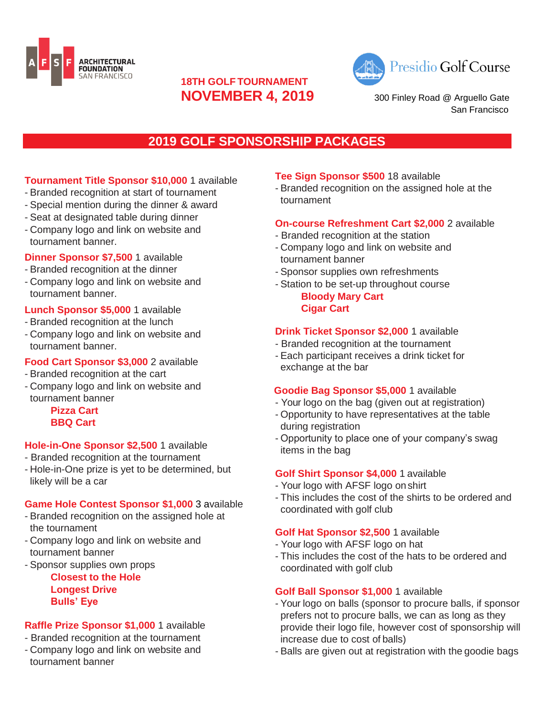



**NOVEMBER 4, 2019** 300 Finl[e](https://www.almadengcc.org/)y Road @ Arguello Gate [San Francisco](https://www.almadengcc.org/)

# **2019 GOLF SPONSORSHIP PACKAGES**

**18TH GOLF TOURNAMENT**

# **Tournament Title Sponsor \$10,000** 1 available

- Branded recognition at start of tournament
- Special mention during the dinner & award
- Seat at designated table during dinner
- Company logo and link on website and tournament banner.

#### **Dinner Sponsor \$7,500** 1 available

- Branded recognition at the dinner
- Company logo and link on website and tournament banner.

# **Lunch Sponsor \$5,000** 1 available

- Branded recognition at the lunch
- Company logo and link on website and tournament banner.

# **Food Cart Sponsor \$3,000** 2 available

- Branded recognition at the cart
- Company logo and link on website and tournament banner

**Pizza Cart BBQ Cart**

# **Hole-in-One Sponsor \$2,500** 1 available

- Branded recognition at the tournament
- Hole-in-One prize is yet to be determined, but likely will be a car

#### **Game Hole Contest Sponsor \$1,000** 3 available

- Branded recognition on the assigned hole at the tournament
- Company logo and link on website and tournament banner

#### - Sponsor supplies own props **Closest to the Hole Longest Drive Bulls' Eye**

# **Raffle Prize Sponsor \$1,000** 1 available

- Branded recognition at the tournament - Company logo and link on website and tournament banner

#### **Tee Sign Sponsor \$500** 18 available

- Branded recognition on the assigned hole at the tournament

#### **On-course Refreshment Cart \$2,000** 2 available

- Branded recognition at the station
- Company logo and link on website and tournament banner
- Sponsor supplies own refreshments
- Station to be set-up throughout course **Bloody Mary Cart Cigar Cart**

# **Drink Ticket Sponsor \$2,000** 1 available

- Branded recognition at the tournament
- Each participant receives a drink ticket for exchange at the bar

# **Goodie Bag Sponsor \$5,000** 1 available

- Your logo on the bag (given out at registration)
- Opportunity to have representatives at the table during registration
- Opportunity to place one of your company's swag items in the bag

# **Golf Shirt Sponsor \$4,000** 1 available

- Your logo with AFSF logo onshirt
- This includes the cost of the shirts to be ordered and coordinated with golf club

# **Golf Hat Sponsor \$2,500** 1 available

- Your logo with AFSF logo on hat
- This includes the cost of the hats to be ordered and coordinated with golf club

#### **Golf Ball Sponsor \$1,000** 1 available

- Your logo on balls (sponsor to procure balls, if sponsor prefers not to procure balls, we can as long as they provide their logo file, however cost of sponsorship will increase due to cost of balls)
- Balls are given out at registration with the goodie bags